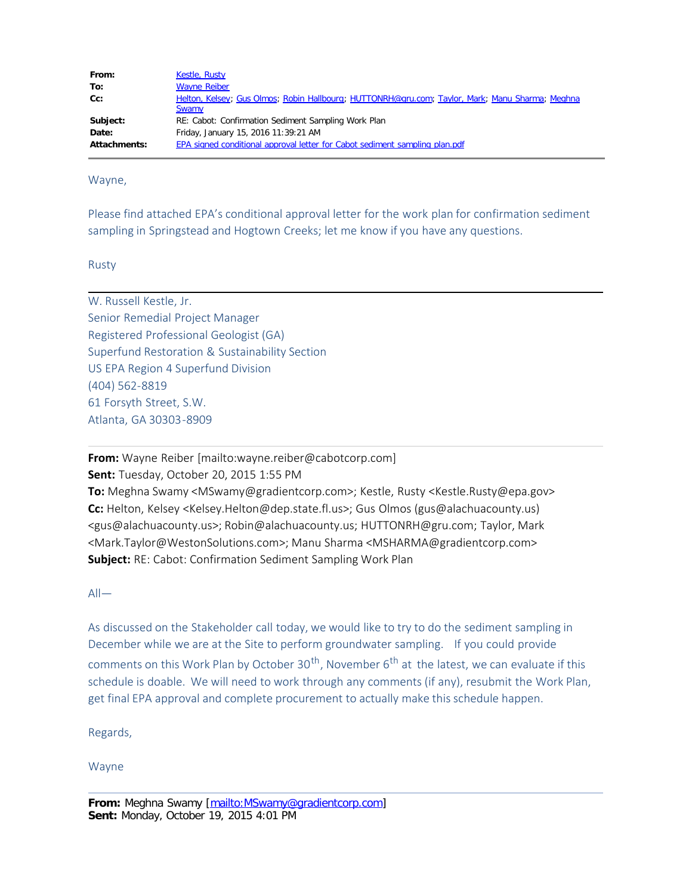| From:        | <b>Kestle, Rusty</b>                                                                            |
|--------------|-------------------------------------------------------------------------------------------------|
| To:          | <b>Wayne Reiber</b>                                                                             |
| $Cc$ :       | Helton, Kelsey; Gus Olmos; Robin Hallbourg; HUTTONRH@gru.com; Taylor, Mark; Manu Sharma; Meghna |
|              | <b>Swamy</b>                                                                                    |
| Subject:     | RE: Cabot: Confirmation Sediment Sampling Work Plan                                             |
| Date:        | Friday, January 15, 2016 11:39:21 AM                                                            |
| Attachments: | EPA signed conditional approval letter for Cabot sediment sampling plan.pdf                     |

Wayne,

Please find attached EPA's conditional approval letter for the work plan for confirmation sediment sampling in Springstead and Hogtown Creeks; let me know if you have any questions.

Rusty

W. Russell Kestle, Jr. Senior Remedial Project Manager Registered Professional Geologist (GA) Superfund Restoration & Sustainability Section US EPA Region 4 Superfund Division (404) 562-8819 61 Forsyth Street, S.W. Atlanta, GA 30303-8909

**From:** Wayne Reiber [mailto:wayne.reiber@cabotcorp.com]

**Sent:** Tuesday, October 20, 2015 1:55 PM

**To:** Meghna Swamy <MSwamy@gradientcorp.com>; Kestle, Rusty <Kestle.Rusty@epa.gov> **Cc:** Helton, Kelsey <Kelsey.Helton@dep.state.fl.us>; Gus Olmos (gus@alachuacounty.us) <gus@alachuacounty.us>; Robin@alachuacounty.us; HUTTONRH@gru.com; Taylor, Mark <Mark.Taylor@WestonSolutions.com>; Manu Sharma <MSHARMA@gradientcorp.com> **Subject:** RE: Cabot: Confirmation Sediment Sampling Work Plan

 $All$ —

As discussed on the Stakeholder call today, we would like to try to do the sediment sampling in December while we are at the Site to perform groundwater sampling. If you could provide comments on this Work Plan by October 30<sup>th</sup>, November 6<sup>th</sup> at the latest, we can evaluate if this schedule is doable. We will need to work through any comments (if any), resubmit the Work Plan, get final EPA approval and complete procurement to actually make this schedule happen.

Regards,

Wayne